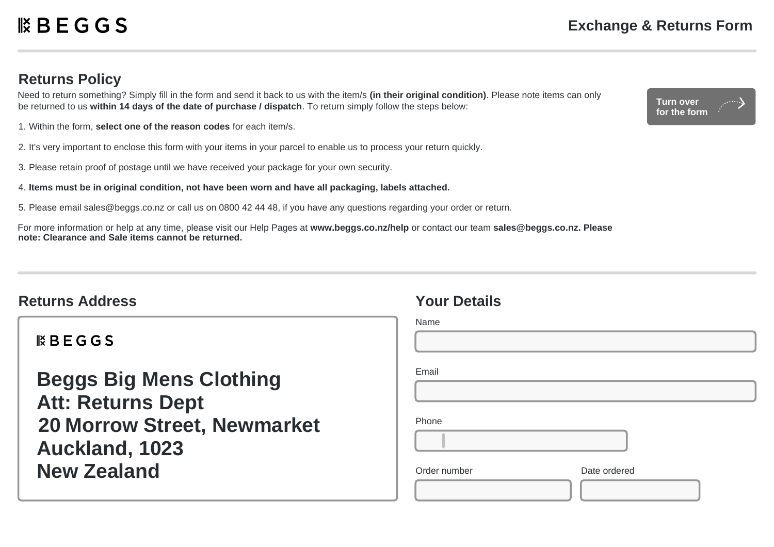### **Returns Policy**

Need to return something? Simply fill in the form and send it back to us with the item/s **(in their original condition)**. Please note items can only be returned to us **within 14 days of the date of purchase / dispatch**. To return simply follow the steps below:

- 1. Within the form, **select one of the reason codes** for each item/s.
- 2. It's very important to enclose this form with your items in your parcel to enable us to process your return quickly.
- 3. Please retain proof of postage until we have received your package for your own security.
- 4. **Items must be in original condition, not have been worn and have all packaging, labels attached.**
- 5. Please email sales@beggs.co.nz or call us on 0800 42 44 48, if you have any questions regarding your order or return.

For more information or help at any time, please visit our Help Pages at **www.beggs.co.nz/help** or contact our team **sales@beggs.co.nz. Please note: Clearance and Sale items cannot be returned.**

# **Returns Address Your Details**

 $BEGGS$ 

**Beggs Big Mens Clothing Att: Returns Dept 20 Morrow Street, Newmarket Auckland, 1023 New Zealand**

| Name         |              |
|--------------|--------------|
|              |              |
| Email        |              |
|              |              |
| Phone        |              |
|              |              |
| Order number | Date ordered |
|              |              |